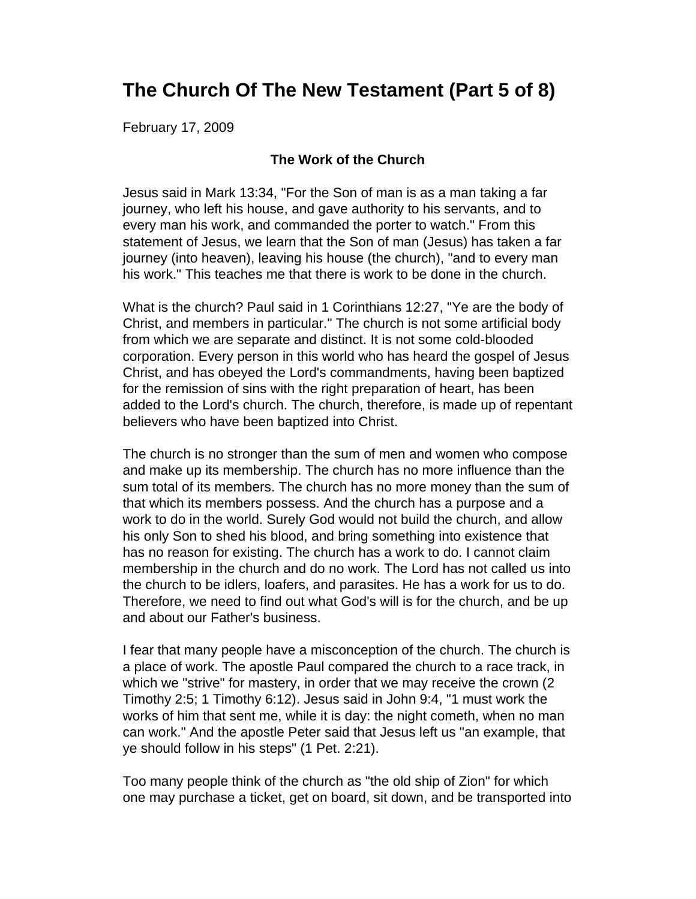# **The Church Of The New Testament (Part 5 of 8)**

February 17, 2009

### **The Work of the Church**

Jesus said in Mark 13:34, "For the Son of man is as a man taking a far journey, who left his house, and gave authority to his servants, and to every man his work, and commanded the porter to watch." From this statement of Jesus, we learn that the Son of man (Jesus) has taken a far journey (into heaven), leaving his house (the church), "and to every man his work." This teaches me that there is work to be done in the church.

What is the church? Paul said in 1 Corinthians 12:27, "Ye are the body of Christ, and members in particular." The church is not some artificial body from which we are separate and distinct. It is not some cold-blooded corporation. Every person in this world who has heard the gospel of Jesus Christ, and has obeyed the Lord's commandments, having been baptized for the remission of sins with the right preparation of heart, has been added to the Lord's church. The church, therefore, is made up of repentant believers who have been baptized into Christ.

The church is no stronger than the sum of men and women who compose and make up its membership. The church has no more influence than the sum total of its members. The church has no more money than the sum of that which its members possess. And the church has a purpose and a work to do in the world. Surely God would not build the church, and allow his only Son to shed his blood, and bring something into existence that has no reason for existing. The church has a work to do. I cannot claim membership in the church and do no work. The Lord has not called us into the church to be idlers, loafers, and parasites. He has a work for us to do. Therefore, we need to find out what God's will is for the church, and be up and about our Father's business.

I fear that many people have a misconception of the church. The church is a place of work. The apostle Paul compared the church to a race track, in which we "strive" for mastery, in order that we may receive the crown (2 Timothy 2:5; 1 Timothy 6:12). Jesus said in John 9:4, "1 must work the works of him that sent me, while it is day: the night cometh, when no man can work." And the apostle Peter said that Jesus left us "an example, that ye should follow in his steps" (1 Pet. 2:21).

Too many people think of the church as "the old ship of Zion" for which one may purchase a ticket, get on board, sit down, and be transported into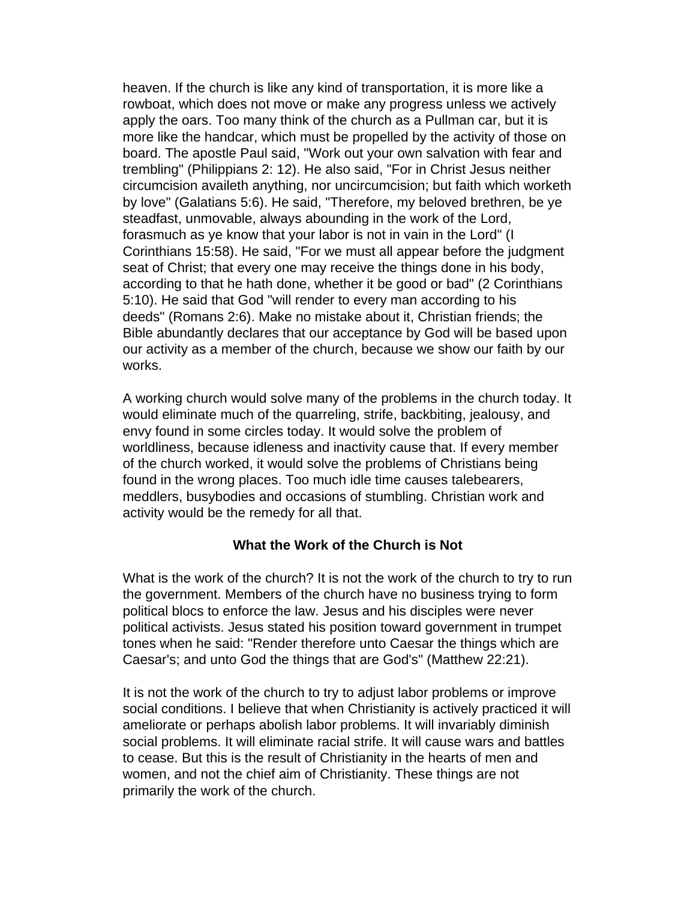heaven. If the church is like any kind of transportation, it is more like a rowboat, which does not move or make any progress unless we actively apply the oars. Too many think of the church as a Pullman car, but it is more like the handcar, which must be propelled by the activity of those on board. The apostle Paul said, "Work out your own salvation with fear and trembling" (Philippians 2: 12). He also said, "For in Christ Jesus neither circumcision availeth anything, nor uncircumcision; but faith which worketh by love" (Galatians 5:6). He said, "Therefore, my beloved brethren, be ye steadfast, unmovable, always abounding in the work of the Lord, forasmuch as ye know that your labor is not in vain in the Lord" (I Corinthians 15:58). He said, "For we must all appear before the judgment seat of Christ; that every one may receive the things done in his body, according to that he hath done, whether it be good or bad" (2 Corinthians 5:10). He said that God "will render to every man according to his deeds" (Romans 2:6). Make no mistake about it, Christian friends; the Bible abundantly declares that our acceptance by God will be based upon our activity as a member of the church, because we show our faith by our works.

A working church would solve many of the problems in the church today. It would eliminate much of the quarreling, strife, backbiting, jealousy, and envy found in some circles today. It would solve the problem of worldliness, because idleness and inactivity cause that. If every member of the church worked, it would solve the problems of Christians being found in the wrong places. Too much idle time causes talebearers, meddlers, busybodies and occasions of stumbling. Christian work and activity would be the remedy for all that.

### **What the Work of the Church is Not**

What is the work of the church? It is not the work of the church to try to run the government. Members of the church have no business trying to form political blocs to enforce the law. Jesus and his disciples were never political activists. Jesus stated his position toward government in trumpet tones when he said: "Render therefore unto Caesar the things which are Caesar's; and unto God the things that are God's" (Matthew 22:21).

It is not the work of the church to try to adjust labor problems or improve social conditions. I believe that when Christianity is actively practiced it will ameliorate or perhaps abolish labor problems. It will invariably diminish social problems. It will eliminate racial strife. It will cause wars and battles to cease. But this is the result of Christianity in the hearts of men and women, and not the chief aim of Christianity. These things are not primarily the work of the church.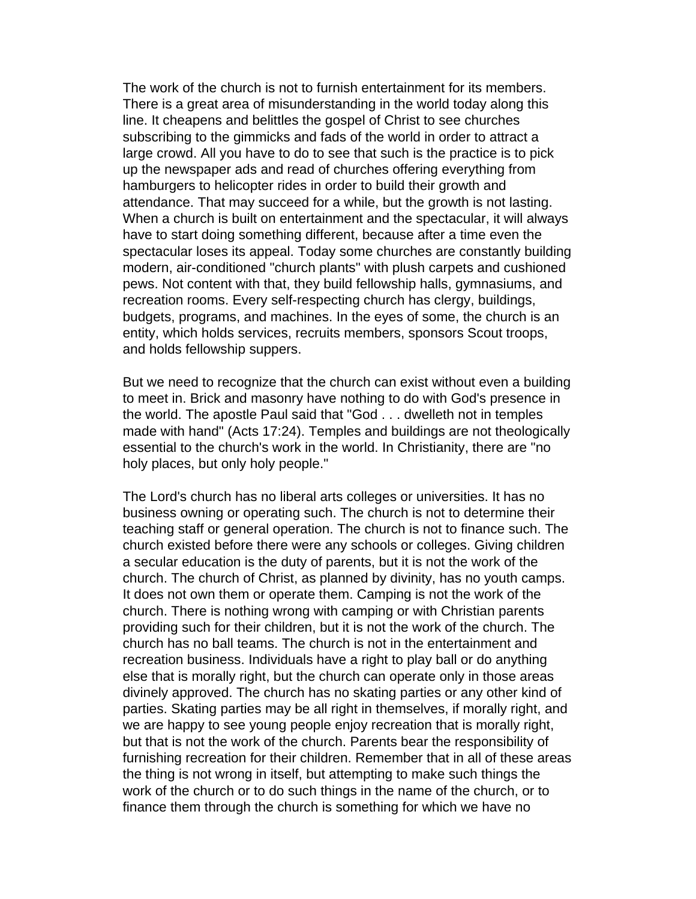The work of the church is not to furnish entertainment for its members. There is a great area of misunderstanding in the world today along this line. It cheapens and belittles the gospel of Christ to see churches subscribing to the gimmicks and fads of the world in order to attract a large crowd. All you have to do to see that such is the practice is to pick up the newspaper ads and read of churches offering everything from hamburgers to helicopter rides in order to build their growth and attendance. That may succeed for a while, but the growth is not lasting. When a church is built on entertainment and the spectacular, it will always have to start doing something different, because after a time even the spectacular loses its appeal. Today some churches are constantly building modern, air-conditioned "church plants" with plush carpets and cushioned pews. Not content with that, they build fellowship halls, gymnasiums, and recreation rooms. Every self-respecting church has clergy, buildings, budgets, programs, and machines. In the eyes of some, the church is an entity, which holds services, recruits members, sponsors Scout troops, and holds fellowship suppers.

But we need to recognize that the church can exist without even a building to meet in. Brick and masonry have nothing to do with God's presence in the world. The apostle Paul said that "God . . . dwelleth not in temples made with hand" (Acts 17:24). Temples and buildings are not theologically essential to the church's work in the world. In Christianity, there are "no holy places, but only holy people."

The Lord's church has no liberal arts colleges or universities. It has no business owning or operating such. The church is not to determine their teaching staff or general operation. The church is not to finance such. The church existed before there were any schools or colleges. Giving children a secular education is the duty of parents, but it is not the work of the church. The church of Christ, as planned by divinity, has no youth camps. It does not own them or operate them. Camping is not the work of the church. There is nothing wrong with camping or with Christian parents providing such for their children, but it is not the work of the church. The church has no ball teams. The church is not in the entertainment and recreation business. Individuals have a right to play ball or do anything else that is morally right, but the church can operate only in those areas divinely approved. The church has no skating parties or any other kind of parties. Skating parties may be all right in themselves, if morally right, and we are happy to see young people enjoy recreation that is morally right, but that is not the work of the church. Parents bear the responsibility of furnishing recreation for their children. Remember that in all of these areas the thing is not wrong in itself, but attempting to make such things the work of the church or to do such things in the name of the church, or to finance them through the church is something for which we have no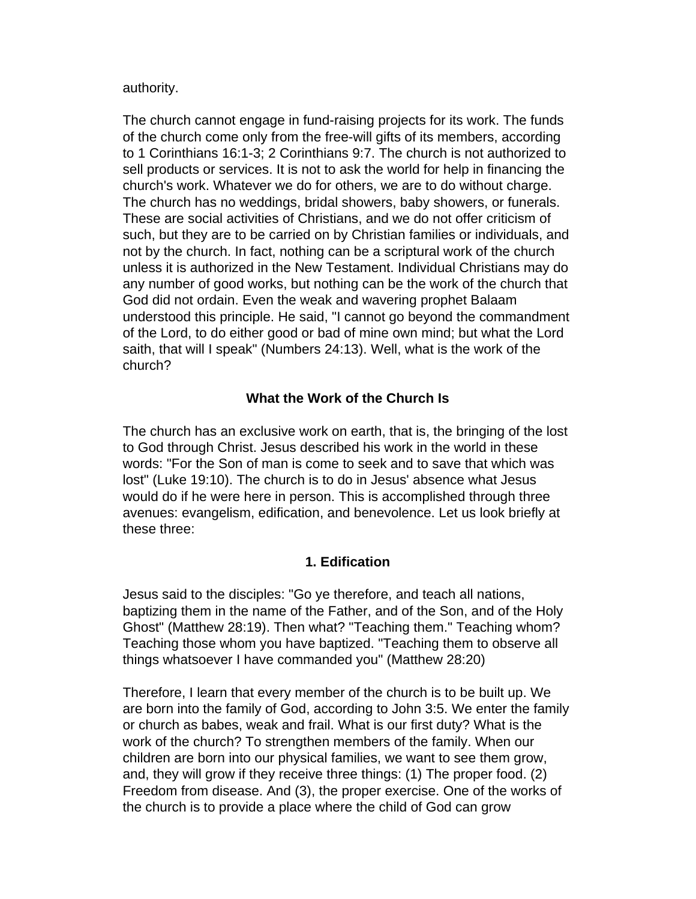authority.

The church cannot engage in fund-raising projects for its work. The funds of the church come only from the free-will gifts of its members, according to 1 Corinthians 16:1-3; 2 Corinthians 9:7. The church is not authorized to sell products or services. It is not to ask the world for help in financing the church's work. Whatever we do for others, we are to do without charge. The church has no weddings, bridal showers, baby showers, or funerals. These are social activities of Christians, and we do not offer criticism of such, but they are to be carried on by Christian families or individuals, and not by the church. In fact, nothing can be a scriptural work of the church unless it is authorized in the New Testament. Individual Christians may do any number of good works, but nothing can be the work of the church that God did not ordain. Even the weak and wavering prophet Balaam understood this principle. He said, "I cannot go beyond the commandment of the Lord, to do either good or bad of mine own mind; but what the Lord saith, that will I speak" (Numbers 24:13). Well, what is the work of the church?

## **What the Work of the Church Is**

The church has an exclusive work on earth, that is, the bringing of the lost to God through Christ. Jesus described his work in the world in these words: "For the Son of man is come to seek and to save that which was lost" (Luke 19:10). The church is to do in Jesus' absence what Jesus would do if he were here in person. This is accomplished through three avenues: evangelism, edification, and benevolence. Let us look briefly at these three:

## **1. Edification**

Jesus said to the disciples: "Go ye therefore, and teach all nations, baptizing them in the name of the Father, and of the Son, and of the Holy Ghost" (Matthew 28:19). Then what? "Teaching them." Teaching whom? Teaching those whom you have baptized. "Teaching them to observe all things whatsoever I have commanded you" (Matthew 28:20)

Therefore, I learn that every member of the church is to be built up. We are born into the family of God, according to John 3:5. We enter the family or church as babes, weak and frail. What is our first duty? What is the work of the church? To strengthen members of the family. When our children are born into our physical families, we want to see them grow, and, they will grow if they receive three things: (1) The proper food. (2) Freedom from disease. And (3), the proper exercise. One of the works of the church is to provide a place where the child of God can grow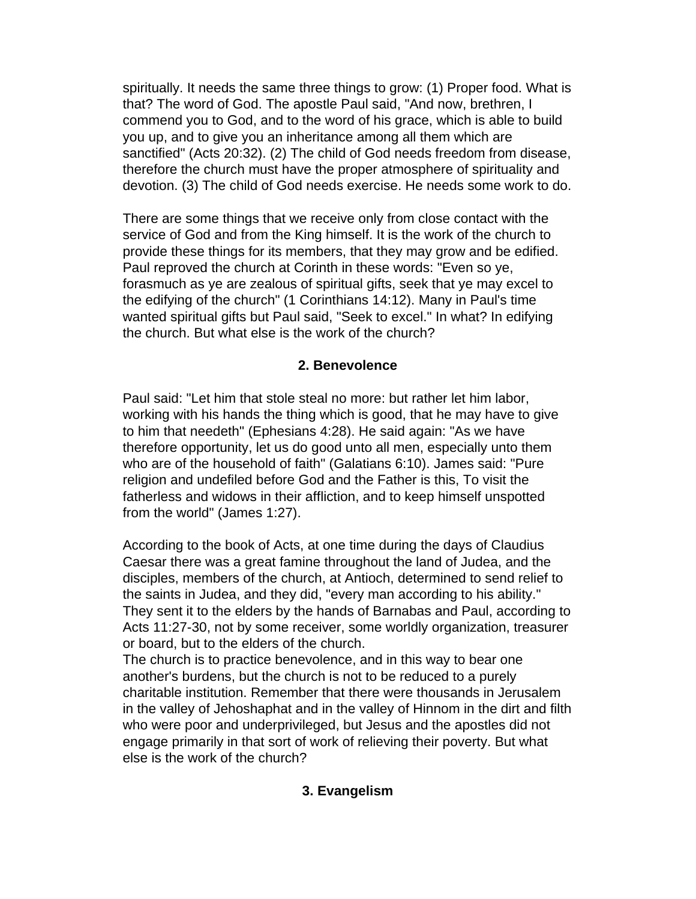spiritually. It needs the same three things to grow: (1) Proper food. What is that? The word of God. The apostle Paul said, "And now, brethren, I commend you to God, and to the word of his grace, which is able to build you up, and to give you an inheritance among all them which are sanctified" (Acts 20:32). (2) The child of God needs freedom from disease, therefore the church must have the proper atmosphere of spirituality and devotion. (3) The child of God needs exercise. He needs some work to do.

There are some things that we receive only from close contact with the service of God and from the King himself. It is the work of the church to provide these things for its members, that they may grow and be edified. Paul reproved the church at Corinth in these words: "Even so ye, forasmuch as ye are zealous of spiritual gifts, seek that ye may excel to the edifying of the church" (1 Corinthians 14:12). Many in Paul's time wanted spiritual gifts but Paul said, "Seek to excel." In what? In edifying the church. But what else is the work of the church?

## **2. Benevolence**

Paul said: "Let him that stole steal no more: but rather let him labor, working with his hands the thing which is good, that he may have to give to him that needeth" (Ephesians 4:28). He said again: "As we have therefore opportunity, let us do good unto all men, especially unto them who are of the household of faith" (Galatians 6:10). James said: "Pure religion and undefiled before God and the Father is this, To visit the fatherless and widows in their affliction, and to keep himself unspotted from the world" (James 1:27).

According to the book of Acts, at one time during the days of Claudius Caesar there was a great famine throughout the land of Judea, and the disciples, members of the church, at Antioch, determined to send relief to the saints in Judea, and they did, "every man according to his ability." They sent it to the elders by the hands of Barnabas and Paul, according to Acts 11:27-30, not by some receiver, some worldly organization, treasurer or board, but to the elders of the church.

The church is to practice benevolence, and in this way to bear one another's burdens, but the church is not to be reduced to a purely charitable institution. Remember that there were thousands in Jerusalem in the valley of Jehoshaphat and in the valley of Hinnom in the dirt and filth who were poor and underprivileged, but Jesus and the apostles did not engage primarily in that sort of work of relieving their poverty. But what else is the work of the church?

### **3. Evangelism**